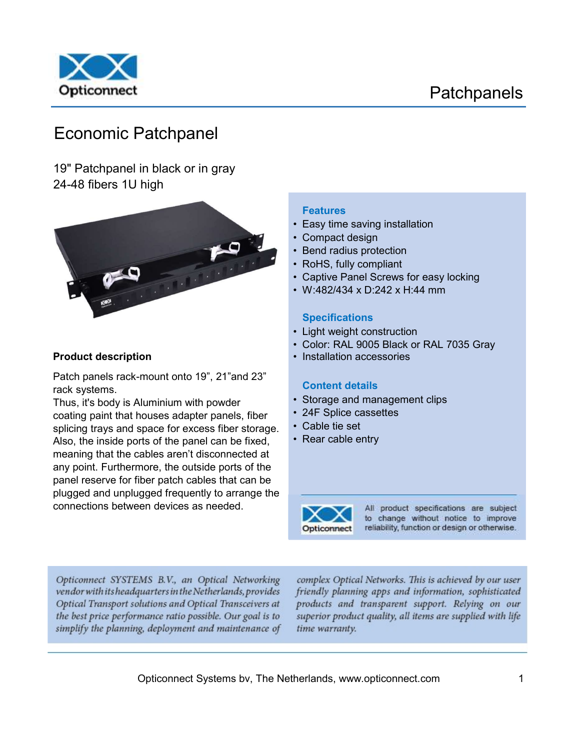

# Economic Patchpanel

19" Patchpanel in black or in gray 24-48 fibers 1U high



Patch panels rack-mount onto 19", 21"and 23" rack systems.

Thus, it's body is Aluminium with powder coating paint that houses adapter panels, fiber splicing trays and space for excess fiber storage. Also, the inside ports of the panel can be fixed, meaning that the cables aren't disconnected at any point. Furthermore, the outside ports of the panel reserve for fiber patch cables that can be plugged and unplugged frequently to arrange the connections between devices as needed.

#### Features

- Easy time saving installation
- Compact design
- Bend radius protection
- RoHS, fully compliant
- Captive Panel Screws for easy locking
- W:482/434 x D:242 x H:44 mm

#### **Specifications**

- Light weight construction
- Color: RAL 9005 Black or RAL 7035 Gray
- **Product description Installation accessories**

#### Content details

- Storage and management clips
- 24F Splice cassettes
- Cable tie set
- Rear cable entry



All product specifications are subject to change without notice to improve reliability, function or design or otherwise.

Opticonnect SYSTEMS B.V., an Optical Networking vendor with its headquarters in the Netherlands, provides Optical Transport solutions and Optical Transceivers at the best price performance ratio possible. Our goal is to simplify the planning, deployment and maintenance of

complex Optical Networks. This is achieved by our user friendly planning apps and information, sophisticated products and transparent support. Relying on our superior product quality, all items are supplied with life time warranty.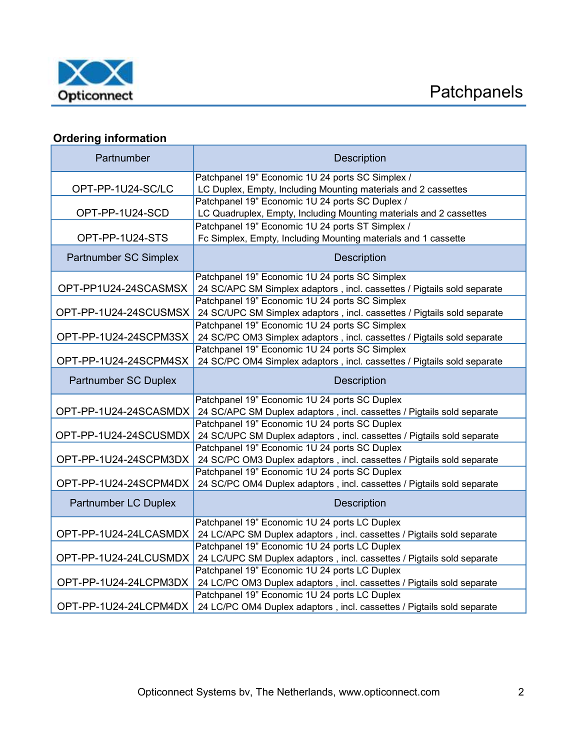

# **Ordering information**

| Partnumber                                     | <b>Description</b>                                                                                                        |  |  |  |
|------------------------------------------------|---------------------------------------------------------------------------------------------------------------------------|--|--|--|
|                                                | Patchpanel 19" Economic 1U 24 ports SC Simplex /                                                                          |  |  |  |
| OPT-PP-1U24-SC/LC                              | LC Duplex, Empty, Including Mounting materials and 2 cassettes                                                            |  |  |  |
| OPT-PP-1U24-SCD                                | Patchpanel 19" Economic 1U 24 ports SC Duplex /                                                                           |  |  |  |
|                                                | LC Quadruplex, Empty, Including Mounting materials and 2 cassettes                                                        |  |  |  |
| OPT-PP-1U24-STS                                | Patchpanel 19" Economic 1U 24 ports ST Simplex /                                                                          |  |  |  |
|                                                | Fc Simplex, Empty, Including Mounting materials and 1 cassette                                                            |  |  |  |
| Partnumber SC Simplex                          | <b>Description</b>                                                                                                        |  |  |  |
|                                                | Patchpanel 19" Economic 1U 24 ports SC Simplex                                                                            |  |  |  |
| OPT-PP1U24-24SCASMSX                           | 24 SC/APC SM Simplex adaptors, incl. cassettes / Pigtails sold separate                                                   |  |  |  |
|                                                | Patchpanel 19" Economic 1U 24 ports SC Simplex                                                                            |  |  |  |
| OPT-PP-1U24-24SCUSMSX                          | 24 SC/UPC SM Simplex adaptors, incl. cassettes / Pigtails sold separate<br>Patchpanel 19" Economic 1U 24 ports SC Simplex |  |  |  |
| OPT-PP-1U24-24SCPM3SX                          | 24 SC/PC OM3 Simplex adaptors, incl. cassettes / Pigtails sold separate                                                   |  |  |  |
| Patchpanel 19" Economic 1U 24 ports SC Simplex |                                                                                                                           |  |  |  |
| OPT-PP-1U24-24SCPM4SX                          | 24 SC/PC OM4 Simplex adaptors, incl. cassettes / Pigtails sold separate                                                   |  |  |  |
| <b>Partnumber SC Duplex</b>                    | <b>Description</b>                                                                                                        |  |  |  |
|                                                | Patchpanel 19" Economic 1U 24 ports SC Duplex                                                                             |  |  |  |
| OPT-PP-1U24-24SCASMDX                          | 24 SC/APC SM Duplex adaptors, incl. cassettes / Pigtails sold separate                                                    |  |  |  |
|                                                | Patchpanel 19" Economic 1U 24 ports SC Duplex                                                                             |  |  |  |
| OPT-PP-1U24-24SCUSMDX                          | 24 SC/UPC SM Duplex adaptors, incl. cassettes / Pigtails sold separate                                                    |  |  |  |
|                                                | Patchpanel 19" Economic 1U 24 ports SC Duplex                                                                             |  |  |  |
| OPT-PP-1U24-24SCPM3DX                          | 24 SC/PC OM3 Duplex adaptors, incl. cassettes / Pigtails sold separate                                                    |  |  |  |
|                                                | Patchpanel 19" Economic 1U 24 ports SC Duplex                                                                             |  |  |  |
| OPT-PP-1U24-24SCPM4DX                          | 24 SC/PC OM4 Duplex adaptors, incl. cassettes / Pigtails sold separate                                                    |  |  |  |
| <b>Partnumber LC Duplex</b>                    | <b>Description</b>                                                                                                        |  |  |  |
|                                                | Patchpanel 19" Economic 1U 24 ports LC Duplex                                                                             |  |  |  |
| OPT-PP-1U24-24LCASMDX                          | 24 LC/APC SM Duplex adaptors, incl. cassettes / Pigtails sold separate                                                    |  |  |  |
|                                                | Patchpanel 19" Economic 1U 24 ports LC Duplex                                                                             |  |  |  |
| OPT-PP-1U24-24LCUSMDX                          | 24 LC/UPC SM Duplex adaptors, incl. cassettes / Pigtails sold separate                                                    |  |  |  |
|                                                | Patchpanel 19" Economic 1U 24 ports LC Duplex                                                                             |  |  |  |
| OPT-PP-1U24-24LCPM3DX                          | 24 LC/PC OM3 Duplex adaptors, incl. cassettes / Pigtails sold separate                                                    |  |  |  |
|                                                | Patchpanel 19" Economic 1U 24 ports LC Duplex                                                                             |  |  |  |
| OPT-PP-1U24-24LCPM4DX                          | 24 LC/PC OM4 Duplex adaptors, incl. cassettes / Pigtails sold separate                                                    |  |  |  |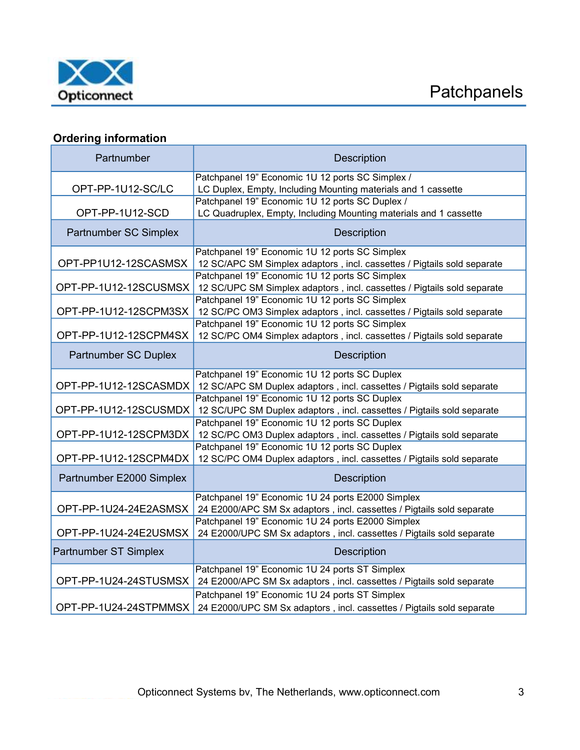

# Ordering information

| Partnumber                  | Description                                                                                                                |  |  |
|-----------------------------|----------------------------------------------------------------------------------------------------------------------------|--|--|
|                             | Patchpanel 19" Economic 1U 12 ports SC Simplex /                                                                           |  |  |
| OPT-PP-1U12-SC/LC           | LC Duplex, Empty, Including Mounting materials and 1 cassette                                                              |  |  |
| OPT-PP-1U12-SCD             | Patchpanel 19" Economic 1U 12 ports SC Duplex /<br>LC Quadruplex, Empty, Including Mounting materials and 1 cassette       |  |  |
| Partnumber SC Simplex       | <b>Description</b>                                                                                                         |  |  |
| OPT-PP1U12-12SCASMSX        | Patchpanel 19" Economic 1U 12 ports SC Simplex<br>12 SC/APC SM Simplex adaptors, incl. cassettes / Pigtails sold separate  |  |  |
| OPT-PP-1U12-12SCUSMSX       | Patchpanel 19" Economic 1U 12 ports SC Simplex<br>12 SC/UPC SM Simplex adaptors, incl. cassettes / Pigtails sold separate  |  |  |
| OPT-PP-1U12-12SCPM3SX       | Patchpanel 19" Economic 1U 12 ports SC Simplex<br>12 SC/PC OM3 Simplex adaptors, incl. cassettes / Pigtails sold separate  |  |  |
| OPT-PP-1U12-12SCPM4SX       | Patchpanel 19" Economic 1U 12 ports SC Simplex<br>12 SC/PC OM4 Simplex adaptors, incl. cassettes / Pigtails sold separate  |  |  |
| <b>Partnumber SC Duplex</b> | <b>Description</b>                                                                                                         |  |  |
| OPT-PP-1U12-12SCASMDX       | Patchpanel 19" Economic 1U 12 ports SC Duplex                                                                              |  |  |
|                             | 12 SC/APC SM Duplex adaptors, incl. cassettes / Pigtails sold separate<br>Patchpanel 19" Economic 1U 12 ports SC Duplex    |  |  |
| OPT-PP-1U12-12SCUSMDX       | 12 SC/UPC SM Duplex adaptors, incl. cassettes / Pigtails sold separate                                                     |  |  |
| OPT-PP-1U12-12SCPM3DX       | Patchpanel 19" Economic 1U 12 ports SC Duplex<br>12 SC/PC OM3 Duplex adaptors, incl. cassettes / Pigtails sold separate    |  |  |
| OPT-PP-1U12-12SCPM4DX       | Patchpanel 19" Economic 1U 12 ports SC Duplex                                                                              |  |  |
|                             | 12 SC/PC OM4 Duplex adaptors, incl. cassettes / Pigtails sold separate                                                     |  |  |
| Partnumber E2000 Simplex    | Description                                                                                                                |  |  |
| OPT-PP-1U24-24E2ASMSX       | Patchpanel 19" Economic 1U 24 ports E2000 Simplex<br>24 E2000/APC SM Sx adaptors, incl. cassettes / Pigtails sold separate |  |  |
|                             | Patchpanel 19" Economic 1U 24 ports E2000 Simplex                                                                          |  |  |
| OPT-PP-1U24-24E2USMSX       | 24 E2000/UPC SM Sx adaptors, incl. cassettes / Pigtails sold separate                                                      |  |  |
| Partnumber ST Simplex       | <b>Description</b>                                                                                                         |  |  |
| OPT-PP-1U24-24STUSMSX       | Patchpanel 19" Economic 1U 24 ports ST Simplex<br>24 E2000/APC SM Sx adaptors, incl. cassettes / Pigtails sold separate    |  |  |
|                             | Patchpanel 19" Economic 1U 24 ports ST Simplex                                                                             |  |  |
| OPT-PP-1U24-24STPMMSX       | 24 E2000/UPC SM Sx adaptors, incl. cassettes / Pigtails sold separate                                                      |  |  |